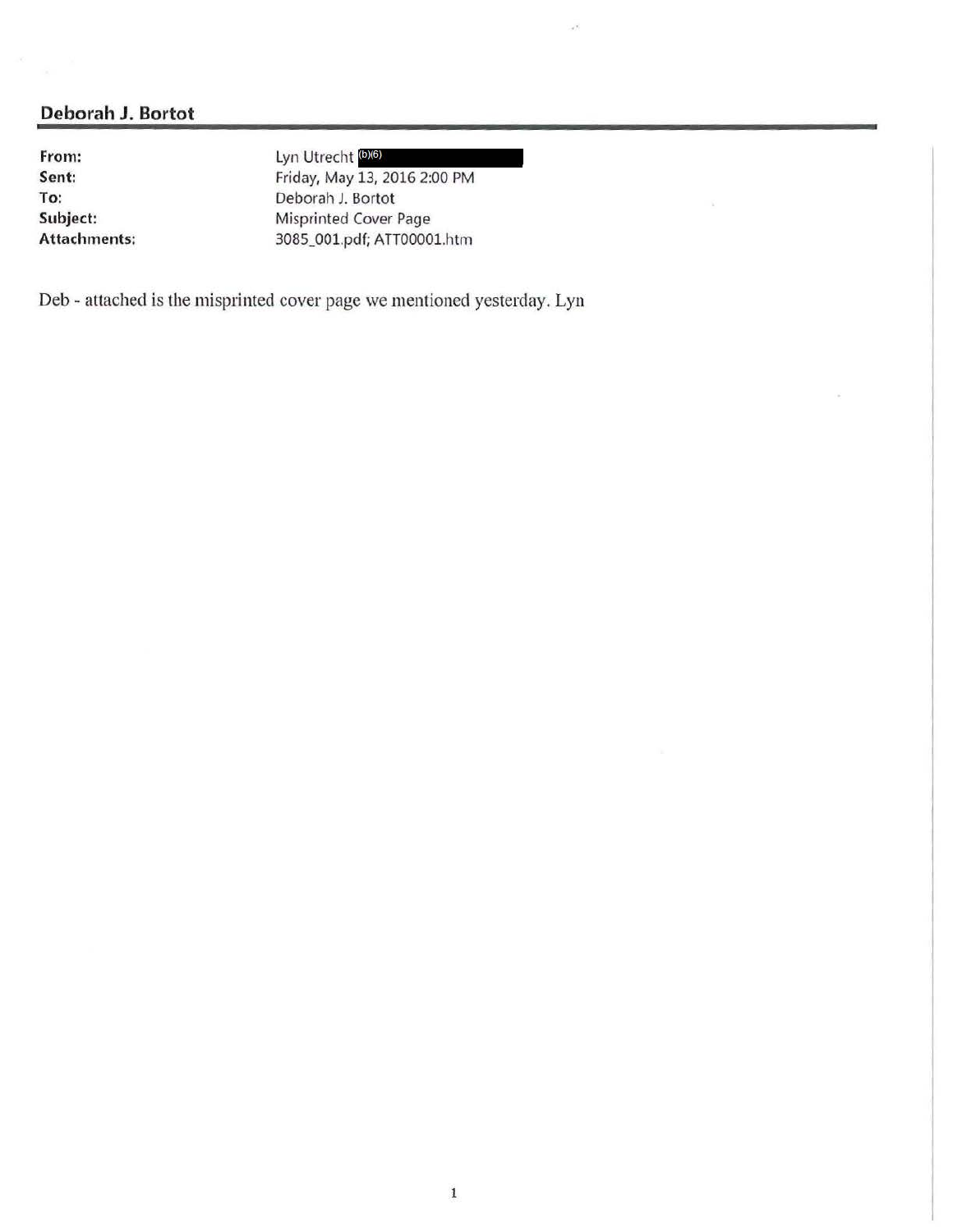**From: Sent: To: Subject: Attachments:**  Lyn Utrecht (b)(6) Friday, May 13, 2016 2:00 PM Deborah J. Bortot Misprinted Cover Page 3085\_001.pdf; A TTOOOOl.htm

 $\mathcal{A}^{\mathcal{B}}$ 

Deb - attached is the misprinted cover page we mentioned yesterday. Lyn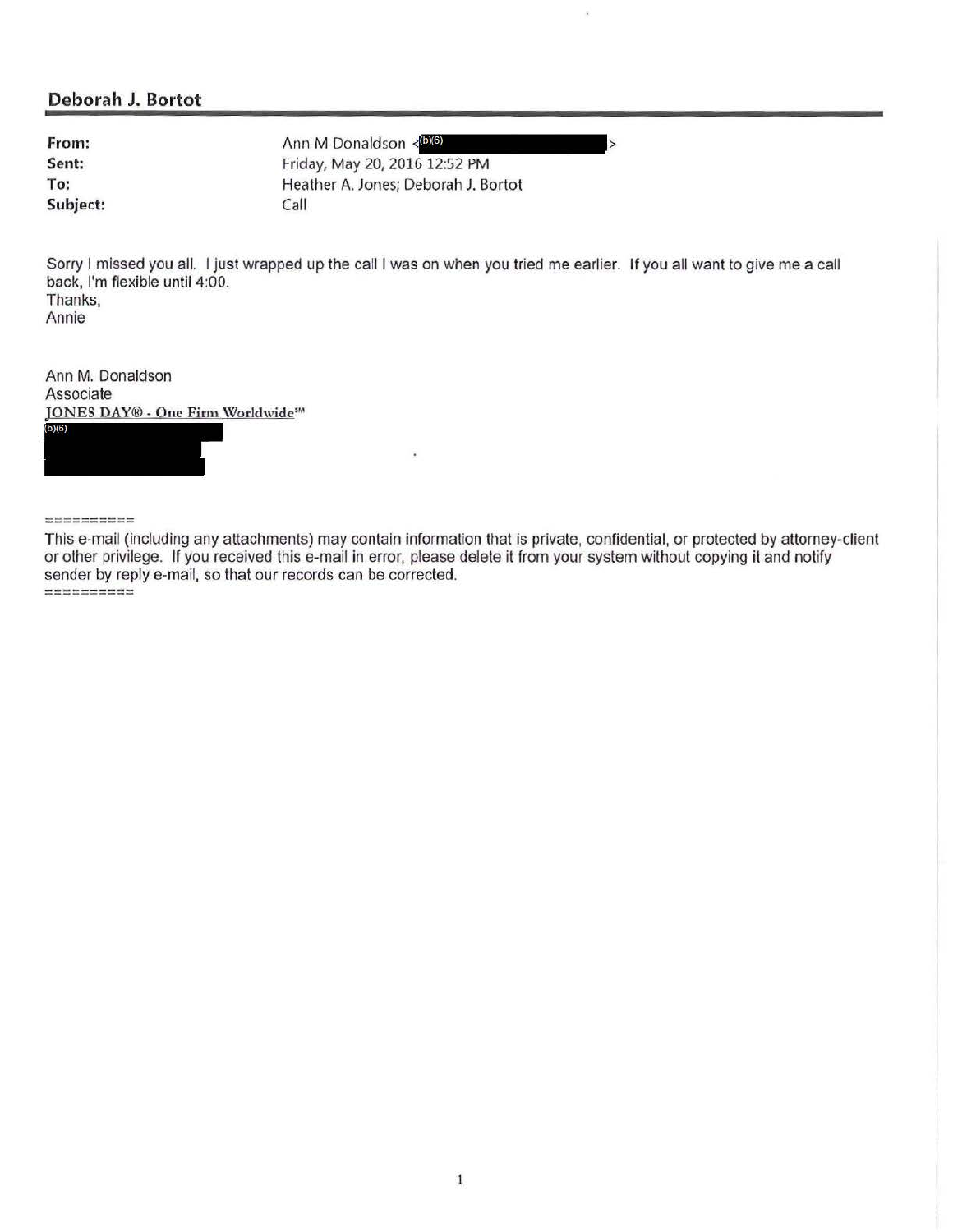**From: Sent: To: Subject:** 

Ann M Donaldson <<a>(b)(6)</a> Friday, May 20, 2016 12:52 PM Heather A. Jones; Deborah J. Bortot Call

Sorry I missed you all. I just wrapped up the call I was on when you tried me earlier. If you all want to give me a call back, I'm flexible until 4:00. Thanks,

>

Annie

Ann M. Donaldson Associate **JONES DAY® - One Firm Worldwide**<sup>5M</sup>  $(b)(6)$ 

#### ==========

This e-mail (including any attachments) may contain information that is private, confidential, or protected by attorney-client or other privilege. If you received this e-mail in error, please delete it from your system without copying it and notify sender by reply e-mail, so that our records can be corrected. ---------- ----------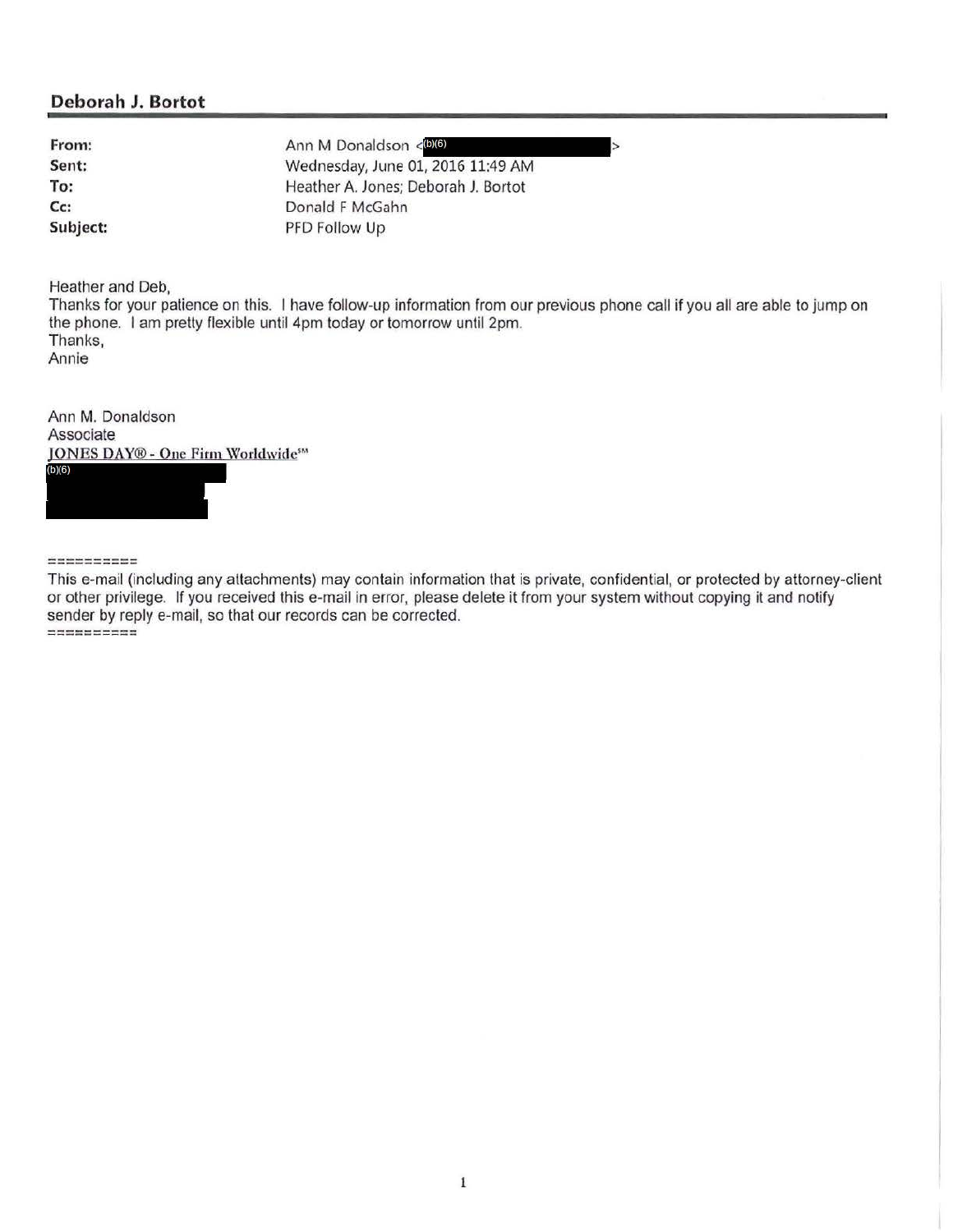**From: Sent: To: Cc: Subject:**  Ann M Donaldson < (b)(6) Wednesday, June 01, 2016 11:49 AM Heather A. Jones; Deborah J. Bortot Donald F McGahn PFD Follow Up

Heather and Deb,

Thanks for your patience on this. I have follow-up information from our previous phone call if you all are able to jump on the phone. I am pretty flexible until 4pm today or tomorrow until 2pm. Thanks, Annie

 $\overline{\phantom{a}}$ 

Ann M. Donaldson **Associate** JONES DAY® - One Firm Worldwide555  $(b)(6)$ 

*===========* 

This e-mail (including any attachments) may contain information that is private, confidential, or protected by attorney-client or other privilege. If you received this e-mail in error, please delete it from your system without copying it and notify sender by reply e-mail, so that our records can be corrected. ---------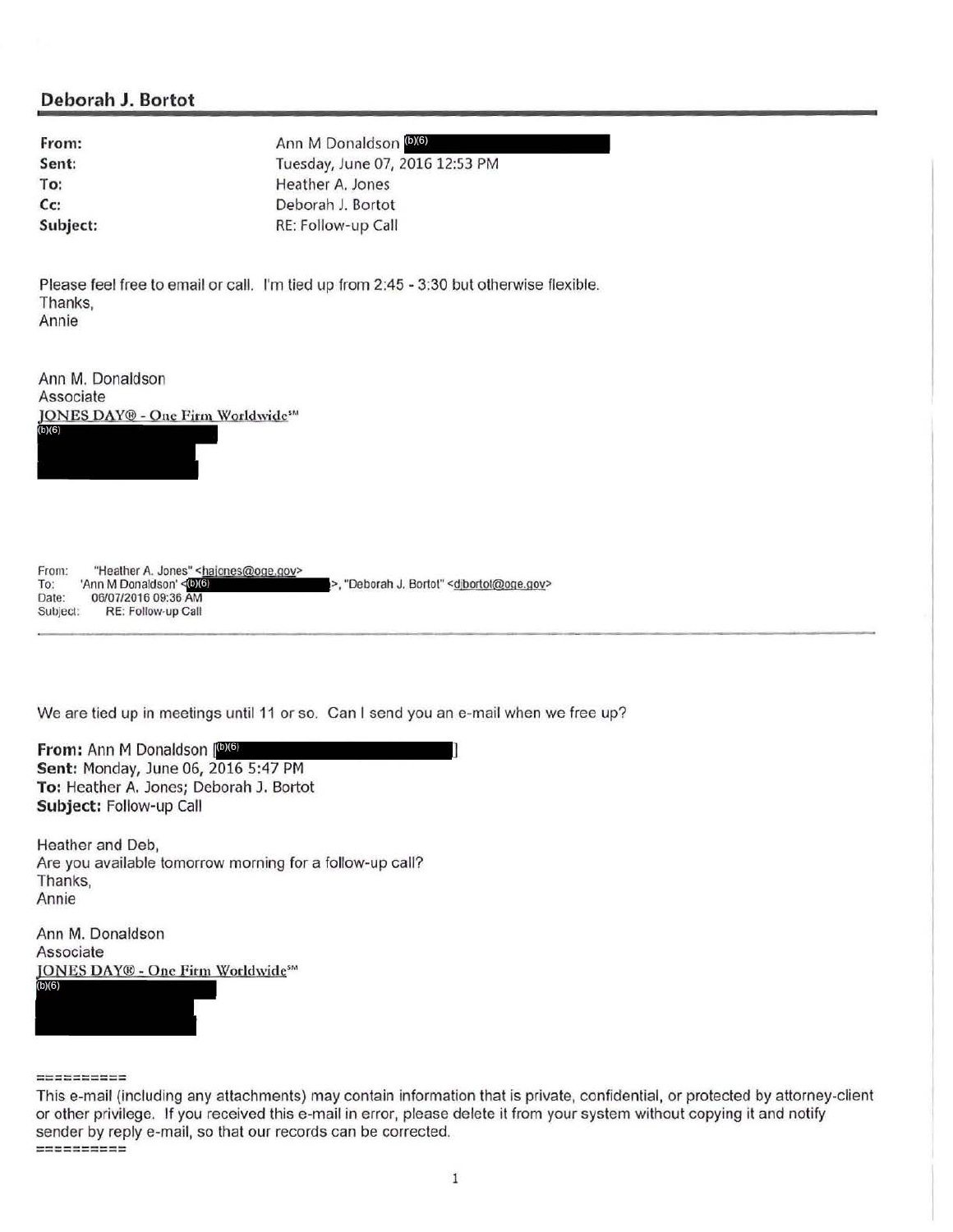| From:    |  |
|----------|--|
| Sent:    |  |
| To:      |  |
| cc:      |  |
| Subject: |  |

**From:** Ann M Donaldson (b)(6) Tuesday, June 07, 2016 12:53 PM Heather A. Jones **Cc:** Deborah J. Bortot **Subject:** RE: Follow-up Call

Please feel free to email or call. I'm tied up from 2:45 - 3:30 but otherwise flexible. Thanks, Annie

Ann M. Donaldson Associate **JONES DAY® - One Firm Worldwide**<sup>516</sup>  $(b)(6)$ 

From: To: Date: Subject: "Heather A. Jones" <hajones@oge.gov> Ann M Donaldson' <006) 06/07/2016 09:36 AM RE: FolloW·Up Call >, "Deborah J. Bortot" <djbortot@oge.gov>

We are tied up in meetings until 11 or so. Can I send you an e-mail when we free up?

**From: Ann M Donaldson (6)(6) Sent:** Monday, June 06, 2016 5:47 PM **To:** Heather A. Jones; Deborah J. Bortot **Subject:** Follow-up Call

Heather and Deb, Are you available tomorrow morning for a follow-up call? Thanks, Annie

Ann M. Donaldson Associate JONES DAY® - One Firm Worldwide<sup>5M</sup>  $(b)(6)$ 

=====:::====

This e-mail (including any attachments) may contain information that is private, confidential, or protected by attorney-client or other privilege. If you received this e-mail in error, please delete it from your system without copying it and notify sender by reply e-mail, so that our records can be corrected. ---------- -------